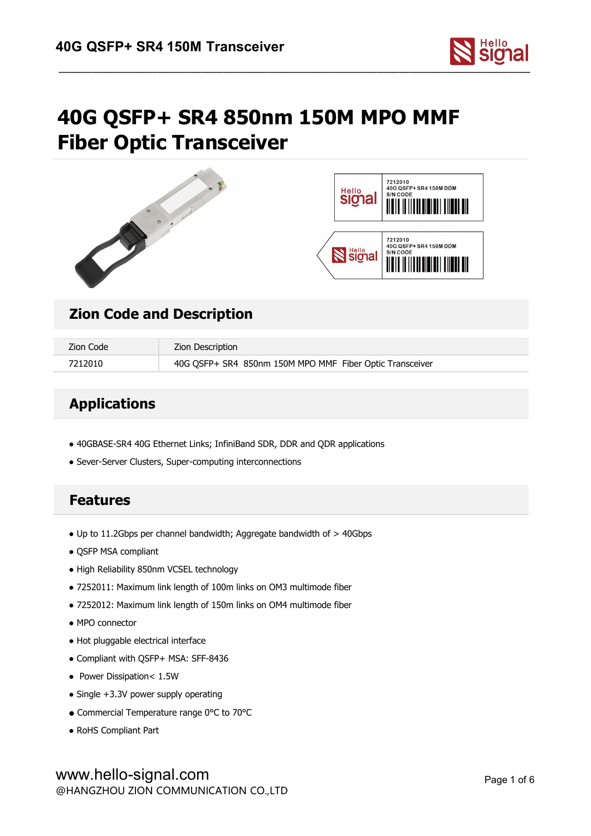

# **40G QSFP+ SR4 850nm 150M MPO MMF Fiber Optic Transceiver**





## **Zion Code and Description**

| Zion Code | Zion Description                                         |
|-----------|----------------------------------------------------------|
| 7212010   | 40G QSFP+ SR4 850nm 150M MPO MMF Fiber Optic Transceiver |

## **Applications**

- 40GBASE-SR4 40G Ethernet Links; InfiniBand SDR, DDR and QDR applications
- Sever-Server Clusters, Super-computing interconnections

## **Features**

- Up to 11.2Gbps per channel bandwidth; Aggregate bandwidth of > 40Gbps
- QSFP MSA compliant
- High Reliability 850nm VCSEL technology
- 7252011: Maximum link length of 100m links on OM3 multimode fiber
- 7252012: Maximum link length of 150m links on OM4 multimode fiber
- MPO connector
- Hot pluggable electrical interface
- Compliant with QSFP+ MSA: SFF-8436
- Power Dissipation< 1.5W
- Single +3.3V power supply operating
- Commercial Temperature range 0°C to 70°C
- RoHS Compliant Part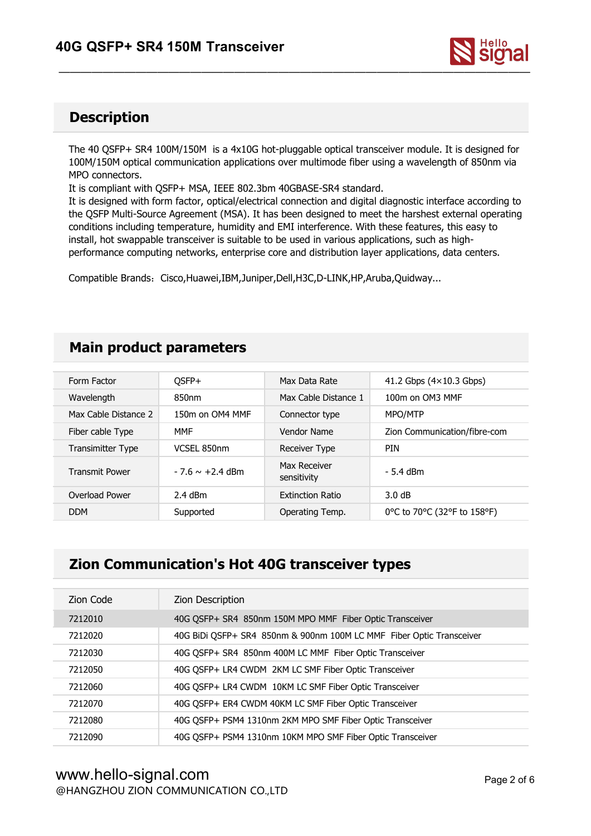

## **Description**

The 40 QSFP+ SR4 100M/150M is a 4x10G hot-pluggable optical transceiver module. It is designed for 100M/150M optical communication applications over multimode fiber using a wavelength of 850nm via MPO connectors.

It is compliant with QSFP+ MSA, IEEE 802.3bm 40GBASE-SR4 standard.

It is designed with form factor, optical/electrical connection and digital diagnostic interface according to the QSFP Multi-Source Agreement (MSA). It has been designed to meet the harshest external operating conditions including temperature, humidity and EMI interference. With these features, this easy to install, hot swappable transceiver is suitable to be used in various applications, such as high performance computing networks, enterprise core and distribution layer applications, data centers.

Compatible Brands:Cisco,Huawei,IBM,Juniper,Dell,H3C,D-LINK,HP,Aruba,Quidway...

## **Main product parameters**

| Form Factor              | OSFP+                | Max Data Rate               | 41.2 Gbps $(4 \times 10.3$ Gbps) |
|--------------------------|----------------------|-----------------------------|----------------------------------|
| Wavelength               | 850nm                | Max Cable Distance 1        | 100m on OM3 MMF                  |
| Max Cable Distance 2     | 150m on OM4 MMF      | Connector type              | MPO/MTP                          |
| Fiber cable Type         | <b>MMF</b>           | Vendor Name                 | Zion Communication/fibre-com     |
| <b>Transimitter Type</b> | VCSEL 850nm          | Receiver Type               | <b>PIN</b>                       |
| <b>Transmit Power</b>    | $-7.6 \sim +2.4$ dBm | Max Receiver<br>sensitivity | - 5.4 dBm                        |
| Overload Power           | $2.4$ dBm            | <b>Extinction Ratio</b>     | 3.0 dB                           |
| <b>DDM</b>               | Supported            | Operating Temp.             | 0 °C to 70 °C (32 °F to 158 °F)  |
|                          |                      |                             |                                  |

## **Zion Communication's Hot 40G transceiver types**

| Zion Code | Zion Description                                                     |
|-----------|----------------------------------------------------------------------|
| 7212010   | 40G OSFP+ SR4 850nm 150M MPO MMF Fiber Optic Transceiver             |
| 7212020   | 40G BiDi OSFP+ SR4 850nm & 900nm 100M LC MMF Fiber Optic Transceiver |
| 7212030   | 40G OSFP+ SR4 850nm 400M LC MMF Fiber Optic Transceiver              |
| 7212050   | 40G OSFP+ LR4 CWDM 2KM LC SMF Fiber Optic Transceiver                |
| 7212060   | 40G QSFP+ LR4 CWDM 10KM LC SMF Fiber Optic Transceiver               |
| 7212070   | 40G QSFP+ ER4 CWDM 40KM LC SMF Fiber Optic Transceiver               |
| 7212080   | 40G QSFP+ PSM4 1310nm 2KM MPO SMF Fiber Optic Transceiver            |
| 7212090   | 40G QSFP+ PSM4 1310nm 10KM MPO SMF Fiber Optic Transceiver           |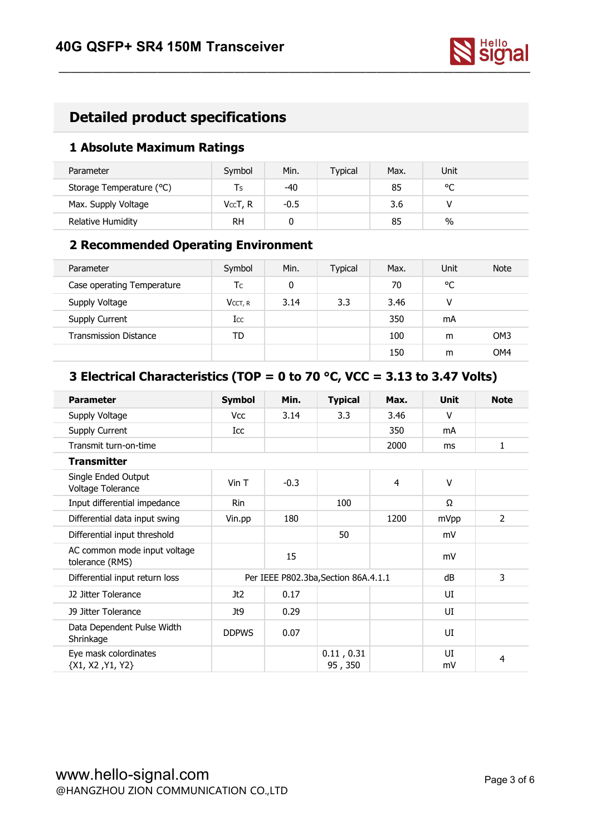

## **Detailed product specifications**

#### **1 Absolute Maximum Ratings**

| Parameter                | Symbol    | Min.   | Typical | Max. | Unit        |  |
|--------------------------|-----------|--------|---------|------|-------------|--|
| Storage Temperature (°C) | l s       | -40    |         | 85   | $\sim$<br>֊ |  |
| Max. Supply Voltage      | VccT, R   | $-0.5$ |         | 3.6  |             |  |
| Relative Humidity        | <b>RH</b> |        |         | 85   | $\%$        |  |

#### **2 Recommended Operating Environment**

| Parameter                    | Symbol     | Min. | <b>Typical</b> | Max. | Unit | <b>Note</b>     |
|------------------------------|------------|------|----------------|------|------|-----------------|
| Case operating Temperature   | Тc         | 0    |                | 70   | °C   |                 |
| Supply Voltage               | $V$ CCT, R | 3.14 | 3.3            | 3.46 | v    |                 |
| Supply Current               | Icc        |      |                | 350  | mA   |                 |
| <b>Transmission Distance</b> | TD         |      |                | 100  | m    | OM <sub>3</sub> |
|                              |            |      |                | 150  | m    | OM4             |

## **3 Electrical Characteristics (TOP = 0 to 70 °C, VCC = 3.13 to3.47 Volts)**

| <b>Parameter</b>                                | <b>Symbol</b> | Min.                                 | <b>Typical</b>        | Max. | <b>Unit</b> | <b>Note</b>    |
|-------------------------------------------------|---------------|--------------------------------------|-----------------------|------|-------------|----------------|
| Supply Voltage                                  | <b>Vcc</b>    | 3.14                                 | 3.3                   | 3.46 | V           |                |
| Supply Current                                  | Icc           |                                      |                       | 350  | mA          |                |
| Transmit turn-on-time                           |               |                                      |                       | 2000 | ms          | 1              |
| <b>Transmitter</b>                              |               |                                      |                       |      |             |                |
| Single Ended Output<br>Voltage Tolerance        | $V$ in T      | $-0.3$                               |                       | 4    | V           |                |
| Input differential impedance                    | Rin           |                                      | 100                   |      | Ω           |                |
| Differential data input swing                   | Vin.pp        | 180                                  |                       | 1200 | mVpp        | $\overline{2}$ |
| Differential input threshold                    |               |                                      | 50                    |      | mV          |                |
| AC common mode input voltage<br>tolerance (RMS) |               | 15                                   |                       |      | mV          |                |
| Differential input return loss                  |               | Per IEEE P802.3ba, Section 86A.4.1.1 | dB                    | 3    |             |                |
| J2 Jitter Tolerance                             | Jt2           | 0.17                                 |                       |      | UI          |                |
| <b>J9 Jitter Tolerance</b>                      | Jt9           | 0.29                                 |                       |      | UI          |                |
| Data Dependent Pulse Width<br>Shrinkage         | <b>DDPWS</b>  | 0.07                                 |                       |      | UI          |                |
| Eye mask colordinates<br>${X1, X2, Y1, Y2}$     |               |                                      | 0.11, 0.31<br>95, 350 |      | UI<br>mV    | 4              |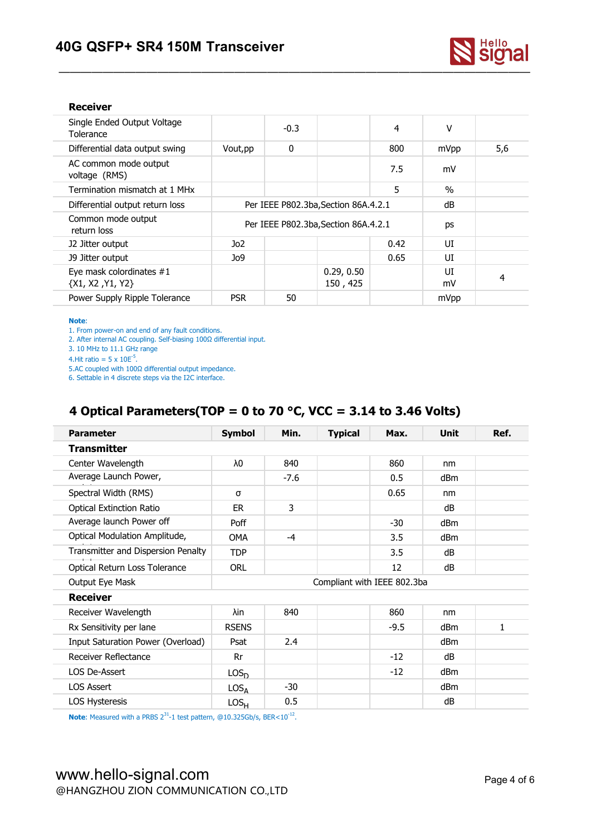

#### **Receiver**

| Single Ended Output Voltage<br>4<br>٧<br>$-0.3$<br>Tolerance<br>0<br>800<br>5,6<br>Differential data output swing<br>Vout, pp<br>mVpp<br>AC common mode output<br>7.5<br>mV<br>voltage (RMS)<br>5<br>$\frac{0}{0}$<br>Termination mismatch at 1 MHx<br>dB<br>Differential output return loss<br>Per IEEE P802.3ba, Section 86A.4.2.1<br>Common mode output<br>Per IEEE P802.3ba, Section 86A.4.2.1<br>ps<br>return loss<br>UI<br>Jo2<br>0.42<br>J2 Jitter output<br>Jo9<br>0.65<br>UI<br>J9 Jitter output<br>UI<br>Eye mask colordinates #1<br>0.29, 0.50<br>$\overline{4}$<br>150, 425<br>${X1, X2, Y1, Y2}$<br>mV<br>50<br>Power Supply Ripple Tolerance<br><b>PSR</b><br>mVpp |  |  |  |  |  |
|----------------------------------------------------------------------------------------------------------------------------------------------------------------------------------------------------------------------------------------------------------------------------------------------------------------------------------------------------------------------------------------------------------------------------------------------------------------------------------------------------------------------------------------------------------------------------------------------------------------------------------------------------------------------------------|--|--|--|--|--|
|                                                                                                                                                                                                                                                                                                                                                                                                                                                                                                                                                                                                                                                                                  |  |  |  |  |  |
|                                                                                                                                                                                                                                                                                                                                                                                                                                                                                                                                                                                                                                                                                  |  |  |  |  |  |
|                                                                                                                                                                                                                                                                                                                                                                                                                                                                                                                                                                                                                                                                                  |  |  |  |  |  |
|                                                                                                                                                                                                                                                                                                                                                                                                                                                                                                                                                                                                                                                                                  |  |  |  |  |  |
|                                                                                                                                                                                                                                                                                                                                                                                                                                                                                                                                                                                                                                                                                  |  |  |  |  |  |
|                                                                                                                                                                                                                                                                                                                                                                                                                                                                                                                                                                                                                                                                                  |  |  |  |  |  |
|                                                                                                                                                                                                                                                                                                                                                                                                                                                                                                                                                                                                                                                                                  |  |  |  |  |  |
|                                                                                                                                                                                                                                                                                                                                                                                                                                                                                                                                                                                                                                                                                  |  |  |  |  |  |
|                                                                                                                                                                                                                                                                                                                                                                                                                                                                                                                                                                                                                                                                                  |  |  |  |  |  |
|                                                                                                                                                                                                                                                                                                                                                                                                                                                                                                                                                                                                                                                                                  |  |  |  |  |  |

#### **Note**:

1. From power-on and end of any fault conditions.

2. After internal AC coupling. Self-biasing 100Ω differential input.

3. 10 MHz to 11.1 GHz range

4. Hit ratio =  $5 \times 10E^{-5}$ . .

5.AC coupled with 100Ω differential output impedance.

6. Settable in 4 discrete steps via the I2C interface.

### **4 Optical Parameters(TOP = 0 to 70 °C, VCC = 3.14 to3.46 Volts)**

| <b>Parameter</b>                   | <b>Symbol</b>    | Min.                        | <b>Typical</b> | Max.   | <b>Unit</b> | Ref.         |
|------------------------------------|------------------|-----------------------------|----------------|--------|-------------|--------------|
| <b>Transmitter</b>                 |                  |                             |                |        |             |              |
| Center Wavelength                  | λ0               | 840                         |                | 860    | nm          |              |
| Average Launch Power,              |                  | $-7.6$                      |                | 0.5    | dBm         |              |
| Spectral Width (RMS)               | σ                |                             |                | 0.65   | nm          |              |
| <b>Optical Extinction Ratio</b>    | ER               | 3                           |                |        | dB          |              |
| Average launch Power off           | Poff             |                             |                | $-30$  | dBm         |              |
| Optical Modulation Amplitude,      | OMA              | $-4$                        |                | 3.5    | dBm         |              |
| Transmitter and Dispersion Penalty | <b>TDP</b>       |                             |                | 3.5    | dB          |              |
| Optical Return Loss Tolerance      | <b>ORL</b>       |                             |                | 12     | dB          |              |
| Output Eye Mask                    |                  | Compliant with IEEE 802.3ba |                |        |             |              |
| <b>Receiver</b>                    |                  |                             |                |        |             |              |
| Receiver Wavelength                | λin              | 840                         |                | 860    | nm          |              |
| Rx Sensitivity per lane            | <b>RSENS</b>     |                             |                | $-9.5$ | dBm         | $\mathbf{1}$ |
| Input Saturation Power (Overload)  | Psat             | 2.4                         |                |        | dBm         |              |
| Receiver Reflectance               | Rr               |                             |                | $-12$  | dB          |              |
| LOS De-Assert                      | LOS <sub>D</sub> |                             |                | $-12$  | dBm         |              |
| <b>LOS Assert</b>                  | $LOS_{\Delta}$   | $-30$                       |                |        | dBm         |              |
| LOS Hysteresis                     | LOS <sub>H</sub> | 0.5                         |                |        | dB          |              |

**Note:** Measured with a PRBS  $2^{31}$ -1 test pattern, @10.325Gb/s, BER<10<sup>-12</sup>. .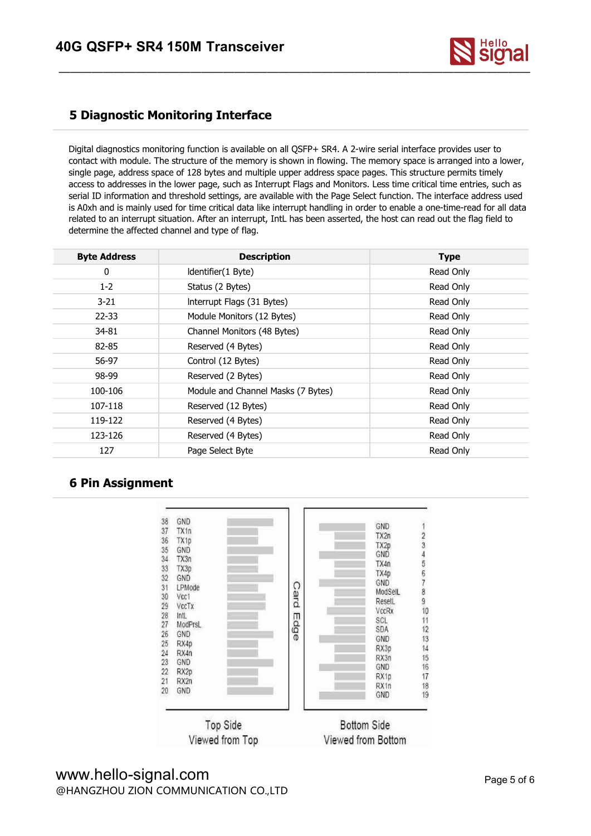

#### **5 Diagnostic Monitoring Interface**

Digital diagnostics monitoring function is available on all QSFP+ SR4. A 2-wire serial interface provides user to contact with module. The structure of the memory is shown in flowing. The memory space is arranged into a lower, single page, address space of 128 bytes and multiple upper address space pages. This structure permits timely access to addresses in the lower page, such as Interrupt Flags and Monitors. Less time critical time entries, such as serial ID information and threshold settings, are available with the Page Select function. The interface address used is A0xh and is mainly used for time critical data like interrupt handling in order to enable a one-time-read for all data related to an interrupt situation. After an interrupt, IntL has been asserted, the host can read out the flag field to determine the affected channel and type of flag.

| <b>Byte Address</b> | <b>Description</b>                 | <b>Type</b> |
|---------------------|------------------------------------|-------------|
| 0                   | Identifier(1 Byte)                 | Read Only   |
| $1 - 2$             | Status (2 Bytes)                   | Read Only   |
| $3 - 21$            | Interrupt Flags (31 Bytes)         | Read Only   |
| $22 - 33$           | Module Monitors (12 Bytes)         | Read Only   |
| 34-81               | Channel Monitors (48 Bytes)        | Read Only   |
| 82-85               | Reserved (4 Bytes)                 | Read Only   |
| 56-97               | Control (12 Bytes)                 | Read Only   |
| 98-99               | Reserved (2 Bytes)                 | Read Only   |
| 100-106             | Module and Channel Masks (7 Bytes) | Read Only   |
| 107-118             | Reserved (12 Bytes)                | Read Only   |
| 119-122             | Reserved (4 Bytes)                 | Read Only   |
| 123-126             | Reserved (4 Bytes)                 | Read Only   |
| 127                 | Page Select Byte                   | Read Only   |

#### **6 Pin Assignment**



### www.hello-signal.com @HANGZHOU ZION COMMUNICATION CO.,LTD